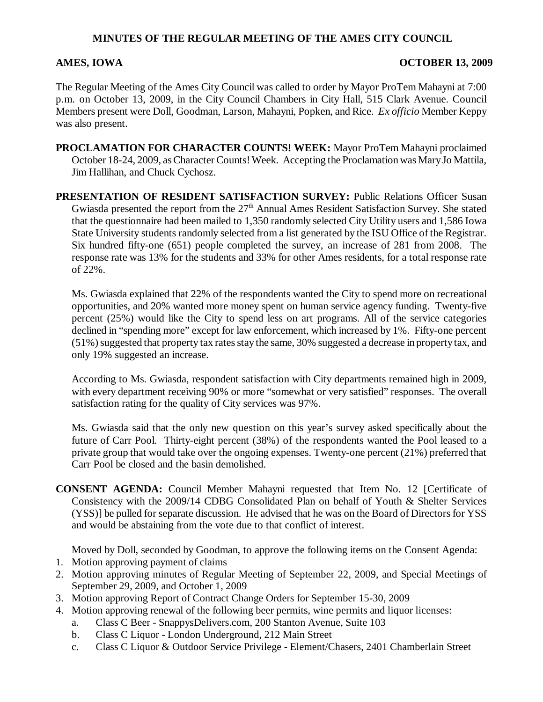### **MINUTES OF THE REGULAR MEETING OF THE AMES CITY COUNCIL**

#### AMES, IOWA **OCTOBER 13, 2009**

The Regular Meeting of the Ames City Council was called to order by Mayor ProTem Mahayni at 7:00 p.m. on October 13, 2009, in the City Council Chambers in City Hall, 515 Clark Avenue. Council Members present were Doll, Goodman, Larson, Mahayni, Popken, and Rice. *Ex officio* Member Keppy was also present.

**PROCLAMATION FOR CHARACTER COUNTS! WEEK:** Mayor ProTem Mahayni proclaimed October 18-24, 2009, as Character Counts! Week. Accepting the Proclamation was Mary Jo Mattila, Jim Hallihan, and Chuck Cychosz.

**PRESENTATION OF RESIDENT SATISFACTION SURVEY:** Public Relations Officer Susan Gwiasda presented the report from the 27<sup>th</sup> Annual Ames Resident Satisfaction Survey. She stated that the questionnaire had been mailed to 1,350 randomly selected City Utility users and 1,586 Iowa State University students randomly selected from a list generated by the ISU Office of the Registrar. Six hundred fifty-one (651) people completed the survey, an increase of 281 from 2008. The response rate was 13% for the students and 33% for other Ames residents, for a total response rate of 22%.

Ms. Gwiasda explained that 22% of the respondents wanted the City to spend more on recreational opportunities, and 20% wanted more money spent on human service agency funding. Twenty-five percent (25%) would like the City to spend less on art programs. All of the service categories declined in "spending more" except for law enforcement, which increased by 1%. Fifty-one percent (51%) suggested that property tax rates stay the same, 30% suggested a decrease in property tax, and only 19% suggested an increase.

According to Ms. Gwiasda, respondent satisfaction with City departments remained high in 2009, with every department receiving 90% or more "somewhat or very satisfied" responses. The overall satisfaction rating for the quality of City services was 97%.

Ms. Gwiasda said that the only new question on this year's survey asked specifically about the future of Carr Pool. Thirty-eight percent (38%) of the respondents wanted the Pool leased to a private group that would take over the ongoing expenses. Twenty-one percent (21%) preferred that Carr Pool be closed and the basin demolished.

**CONSENT AGENDA:** Council Member Mahayni requested that Item No. 12 [Certificate of Consistency with the 2009/14 CDBG Consolidated Plan on behalf of Youth & Shelter Services (YSS)] be pulled for separate discussion. He advised that he was on the Board of Directors for YSS and would be abstaining from the vote due to that conflict of interest.

Moved by Doll, seconded by Goodman, to approve the following items on the Consent Agenda:

- 1. Motion approving payment of claims
- 2. Motion approving minutes of Regular Meeting of September 22, 2009, and Special Meetings of September 29, 2009, and October 1, 2009
- 3. Motion approving Report of Contract Change Orders for September 15-30, 2009
- 4. Motion approving renewal of the following beer permits, wine permits and liquor licenses:
	- a. Class C Beer SnappysDelivers.com, 200 Stanton Avenue, Suite 103
	- b. Class C Liquor London Underground, 212 Main Street
	- c. Class C Liquor & Outdoor Service Privilege Element/Chasers, 2401 Chamberlain Street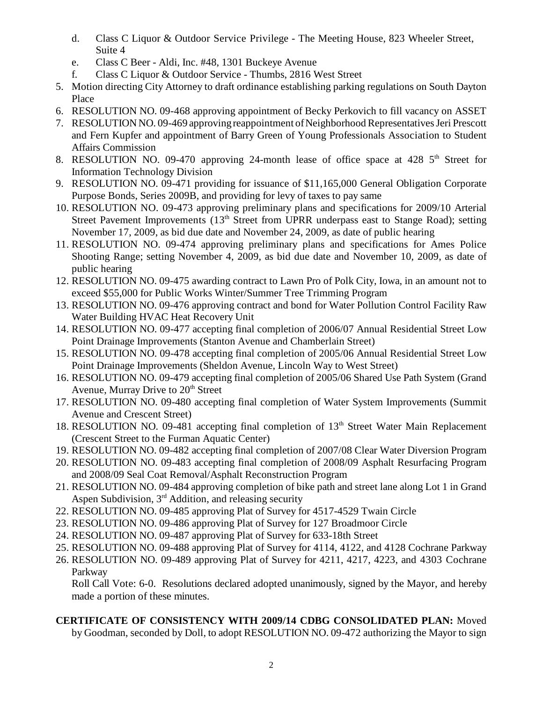- d. Class C Liquor & Outdoor Service Privilege The Meeting House, 823 Wheeler Street, Suite 4
- e. Class C Beer Aldi, Inc. #48, 1301 Buckeye Avenue
- f. Class C Liquor & Outdoor Service Thumbs, 2816 West Street
- 5. Motion directing City Attorney to draft ordinance establishing parking regulations on South Dayton Place
- 6. RESOLUTION NO. 09-468 approving appointment of Becky Perkovich to fill vacancy on ASSET
- 7. RESOLUTION NO. 09-469 approving reappointment of Neighborhood Representatives Jeri Prescott and Fern Kupfer and appointment of Barry Green of Young Professionals Association to Student Affairs Commission
- 8. RESOLUTION NO. 09-470 approving 24-month lease of office space at 428  $5<sup>th</sup>$  Street for Information Technology Division
- 9. RESOLUTION NO. 09-471 providing for issuance of \$11,165,000 General Obligation Corporate Purpose Bonds, Series 2009B, and providing for levy of taxes to pay same
- 10. RESOLUTION NO. 09-473 approving preliminary plans and specifications for 2009/10 Arterial Street Pavement Improvements  $(13<sup>th</sup>$  Street from UPRR underpass east to Stange Road); setting November 17, 2009, as bid due date and November 24, 2009, as date of public hearing
- 11. RESOLUTION NO. 09-474 approving preliminary plans and specifications for Ames Police Shooting Range; setting November 4, 2009, as bid due date and November 10, 2009, as date of public hearing
- 12. RESOLUTION NO. 09-475 awarding contract to Lawn Pro of Polk City, Iowa, in an amount not to exceed \$55,000 for Public Works Winter/Summer Tree Trimming Program
- 13. RESOLUTION NO. 09-476 approving contract and bond for Water Pollution Control Facility Raw Water Building HVAC Heat Recovery Unit
- 14. RESOLUTION NO. 09-477 accepting final completion of 2006/07 Annual Residential Street Low Point Drainage Improvements (Stanton Avenue and Chamberlain Street)
- 15. RESOLUTION NO. 09-478 accepting final completion of 2005/06 Annual Residential Street Low Point Drainage Improvements (Sheldon Avenue, Lincoln Way to West Street)
- 16. RESOLUTION NO. 09-479 accepting final completion of 2005/06 Shared Use Path System (Grand Avenue, Murray Drive to  $20<sup>th</sup>$  Street
- 17. RESOLUTION NO. 09-480 accepting final completion of Water System Improvements (Summit Avenue and Crescent Street)
- 18. RESOLUTION NO. 09-481 accepting final completion of 13<sup>th</sup> Street Water Main Replacement (Crescent Street to the Furman Aquatic Center)
- 19. RESOLUTION NO. 09-482 accepting final completion of 2007/08 Clear Water Diversion Program
- 20. RESOLUTION NO. 09-483 accepting final completion of 2008/09 Asphalt Resurfacing Program and 2008/09 Seal Coat Removal/Asphalt Reconstruction Program
- 21. RESOLUTION NO. 09-484 approving completion of bike path and street lane along Lot 1 in Grand Aspen Subdivision,  $3<sup>rd</sup>$  Addition, and releasing security
- 22. RESOLUTION NO. 09-485 approving Plat of Survey for 4517-4529 Twain Circle
- 23. RESOLUTION NO. 09-486 approving Plat of Survey for 127 Broadmoor Circle
- 24. RESOLUTION NO. 09-487 approving Plat of Survey for 633-18th Street
- 25. RESOLUTION NO. 09-488 approving Plat of Survey for 4114, 4122, and 4128 Cochrane Parkway
- 26. RESOLUTION NO. 09-489 approving Plat of Survey for 4211, 4217, 4223, and 4303 Cochrane Parkway

Roll Call Vote: 6-0. Resolutions declared adopted unanimously, signed by the Mayor, and hereby made a portion of these minutes.

# **CERTIFICATE OF CONSISTENCY WITH 2009/14 CDBG CONSOLIDATED PLAN:** Moved

by Goodman, seconded by Doll, to adopt RESOLUTION NO. 09-472 authorizing the Mayor to sign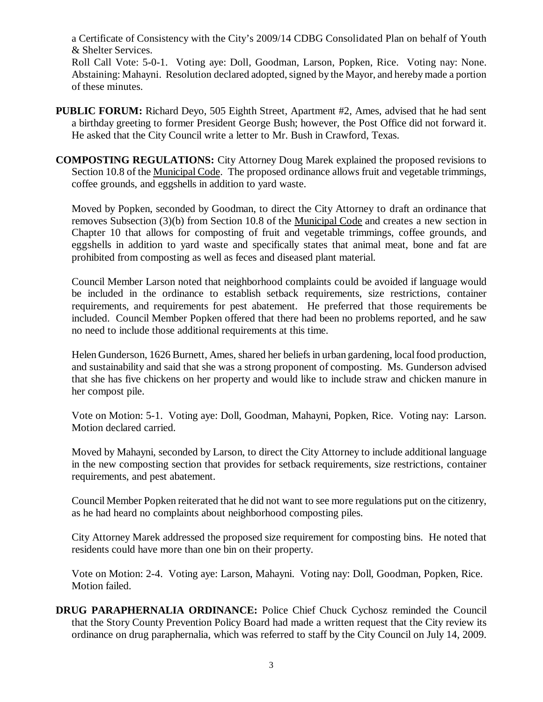a Certificate of Consistency with the City's 2009/14 CDBG Consolidated Plan on behalf of Youth & Shelter Services.

Roll Call Vote: 5-0-1. Voting aye: Doll, Goodman, Larson, Popken, Rice. Voting nay: None. Abstaining: Mahayni. Resolution declared adopted, signed by the Mayor, and hereby made a portion of these minutes.

- **PUBLIC FORUM:** Richard Deyo, 505 Eighth Street, Apartment #2, Ames, advised that he had sent a birthday greeting to former President George Bush; however, the Post Office did not forward it. He asked that the City Council write a letter to Mr. Bush in Crawford, Texas.
- **COMPOSTING REGULATIONS:** City Attorney Doug Marek explained the proposed revisions to Section 10.8 of the Municipal Code. The proposed ordinance allows fruit and vegetable trimmings, coffee grounds, and eggshells in addition to yard waste.

Moved by Popken, seconded by Goodman, to direct the City Attorney to draft an ordinance that removes Subsection (3)(b) from Section 10.8 of the Municipal Code and creates a new section in Chapter 10 that allows for composting of fruit and vegetable trimmings, coffee grounds, and eggshells in addition to yard waste and specifically states that animal meat, bone and fat are prohibited from composting as well as feces and diseased plant material.

Council Member Larson noted that neighborhood complaints could be avoided if language would be included in the ordinance to establish setback requirements, size restrictions, container requirements, and requirements for pest abatement. He preferred that those requirements be included. Council Member Popken offered that there had been no problems reported, and he saw no need to include those additional requirements at this time.

Helen Gunderson, 1626 Burnett, Ames, shared her beliefs in urban gardening, local food production, and sustainability and said that she was a strong proponent of composting. Ms. Gunderson advised that she has five chickens on her property and would like to include straw and chicken manure in her compost pile.

Vote on Motion: 5-1. Voting aye: Doll, Goodman, Mahayni, Popken, Rice. Voting nay: Larson. Motion declared carried.

Moved by Mahayni, seconded by Larson, to direct the City Attorney to include additional language in the new composting section that provides for setback requirements, size restrictions, container requirements, and pest abatement.

Council Member Popken reiterated that he did not want to see more regulations put on the citizenry, as he had heard no complaints about neighborhood composting piles.

City Attorney Marek addressed the proposed size requirement for composting bins. He noted that residents could have more than one bin on their property.

Vote on Motion: 2-4. Voting aye: Larson, Mahayni. Voting nay: Doll, Goodman, Popken, Rice. Motion failed.

**DRUG PARAPHERNALIA ORDINANCE:** Police Chief Chuck Cychosz reminded the Council that the Story County Prevention Policy Board had made a written request that the City review its ordinance on drug paraphernalia, which was referred to staff by the City Council on July 14, 2009.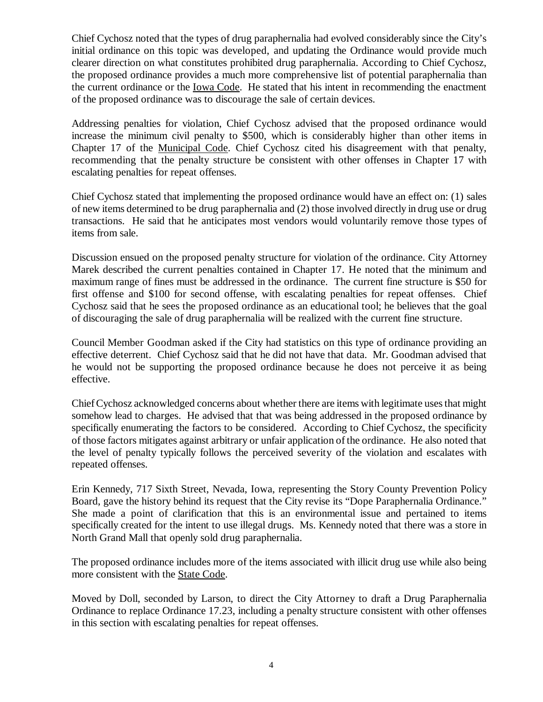Chief Cychosz noted that the types of drug paraphernalia had evolved considerably since the City's initial ordinance on this topic was developed, and updating the Ordinance would provide much clearer direction on what constitutes prohibited drug paraphernalia. According to Chief Cychosz, the proposed ordinance provides a much more comprehensive list of potential paraphernalia than the current ordinance or the Iowa Code. He stated that his intent in recommending the enactment of the proposed ordinance was to discourage the sale of certain devices.

Addressing penalties for violation, Chief Cychosz advised that the proposed ordinance would increase the minimum civil penalty to \$500, which is considerably higher than other items in Chapter 17 of the Municipal Code. Chief Cychosz cited his disagreement with that penalty, recommending that the penalty structure be consistent with other offenses in Chapter 17 with escalating penalties for repeat offenses.

Chief Cychosz stated that implementing the proposed ordinance would have an effect on: (1) sales of new items determined to be drug paraphernalia and (2) those involved directly in drug use or drug transactions. He said that he anticipates most vendors would voluntarily remove those types of items from sale.

Discussion ensued on the proposed penalty structure for violation of the ordinance. City Attorney Marek described the current penalties contained in Chapter 17. He noted that the minimum and maximum range of fines must be addressed in the ordinance. The current fine structure is \$50 for first offense and \$100 for second offense, with escalating penalties for repeat offenses. Chief Cychosz said that he sees the proposed ordinance as an educational tool; he believes that the goal of discouraging the sale of drug paraphernalia will be realized with the current fine structure.

Council Member Goodman asked if the City had statistics on this type of ordinance providing an effective deterrent. Chief Cychosz said that he did not have that data. Mr. Goodman advised that he would not be supporting the proposed ordinance because he does not perceive it as being effective.

Chief Cychosz acknowledged concerns about whether there are items with legitimate uses that might somehow lead to charges. He advised that that was being addressed in the proposed ordinance by specifically enumerating the factors to be considered. According to Chief Cychosz, the specificity of those factors mitigates against arbitrary or unfair application of the ordinance. He also noted that the level of penalty typically follows the perceived severity of the violation and escalates with repeated offenses.

Erin Kennedy, 717 Sixth Street, Nevada, Iowa, representing the Story County Prevention Policy Board, gave the history behind its request that the City revise its "Dope Paraphernalia Ordinance." She made a point of clarification that this is an environmental issue and pertained to items specifically created for the intent to use illegal drugs. Ms. Kennedy noted that there was a store in North Grand Mall that openly sold drug paraphernalia.

The proposed ordinance includes more of the items associated with illicit drug use while also being more consistent with the **State Code**.

Moved by Doll, seconded by Larson, to direct the City Attorney to draft a Drug Paraphernalia Ordinance to replace Ordinance 17.23, including a penalty structure consistent with other offenses in this section with escalating penalties for repeat offenses.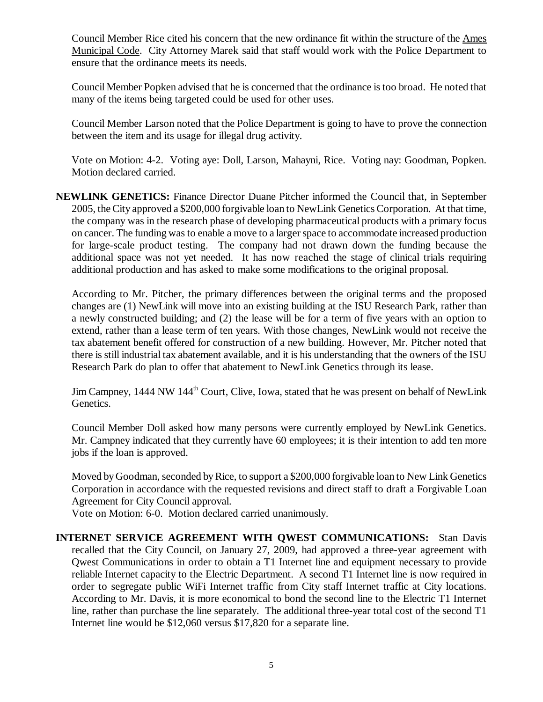Council Member Rice cited his concern that the new ordinance fit within the structure of the Ames Municipal Code. City Attorney Marek said that staff would work with the Police Department to ensure that the ordinance meets its needs.

Council Member Popken advised that he is concerned that the ordinance is too broad. He noted that many of the items being targeted could be used for other uses.

Council Member Larson noted that the Police Department is going to have to prove the connection between the item and its usage for illegal drug activity.

Vote on Motion: 4-2. Voting aye: Doll, Larson, Mahayni, Rice. Voting nay: Goodman, Popken. Motion declared carried.

**NEWLINK GENETICS:** Finance Director Duane Pitcher informed the Council that, in September 2005, the City approved a \$200,000 forgivable loan to NewLink Genetics Corporation. At that time, the company was in the research phase of developing pharmaceutical products with a primary focus on cancer. The funding was to enable a move to a larger space to accommodate increased production for large-scale product testing. The company had not drawn down the funding because the additional space was not yet needed. It has now reached the stage of clinical trials requiring additional production and has asked to make some modifications to the original proposal.

According to Mr. Pitcher, the primary differences between the original terms and the proposed changes are (1) NewLink will move into an existing building at the ISU Research Park, rather than a newly constructed building; and (2) the lease will be for a term of five years with an option to extend, rather than a lease term of ten years. With those changes, NewLink would not receive the tax abatement benefit offered for construction of a new building. However, Mr. Pitcher noted that there is still industrial tax abatement available, and it is his understanding that the owners of the ISU Research Park do plan to offer that abatement to NewLink Genetics through its lease.

Jim Campney, 1444 NW 144<sup>th</sup> Court, Clive, Iowa, stated that he was present on behalf of NewLink Genetics.

Council Member Doll asked how many persons were currently employed by NewLink Genetics. Mr. Campney indicated that they currently have 60 employees; it is their intention to add ten more jobs if the loan is approved.

Moved by Goodman, seconded by Rice, to support a \$200,000 forgivable loan to New Link Genetics Corporation in accordance with the requested revisions and direct staff to draft a Forgivable Loan Agreement for City Council approval.

Vote on Motion: 6-0. Motion declared carried unanimously.

**INTERNET SERVICE AGREEMENT WITH QWEST COMMUNICATIONS:** Stan Davis recalled that the City Council, on January 27, 2009, had approved a three-year agreement with Qwest Communications in order to obtain a T1 Internet line and equipment necessary to provide reliable Internet capacity to the Electric Department. A second T1 Internet line is now required in order to segregate public WiFi Internet traffic from City staff Internet traffic at City locations. According to Mr. Davis, it is more economical to bond the second line to the Electric T1 Internet line, rather than purchase the line separately. The additional three-year total cost of the second T1 Internet line would be \$12,060 versus \$17,820 for a separate line.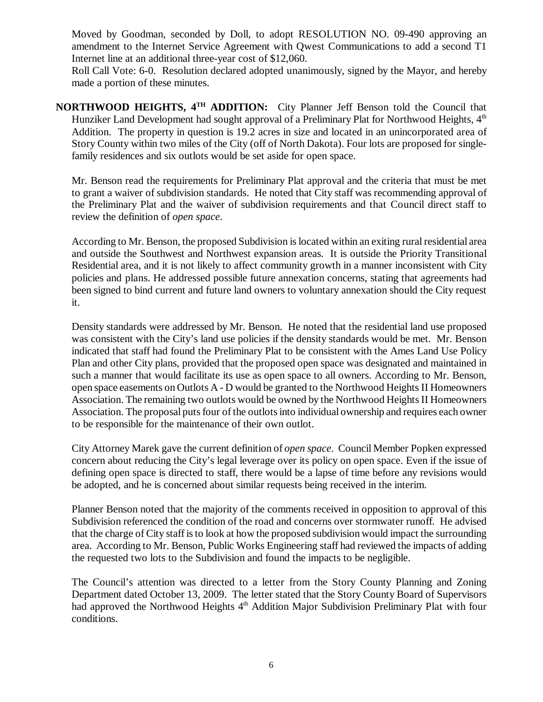Moved by Goodman, seconded by Doll, to adopt RESOLUTION NO. 09-490 approving an amendment to the Internet Service Agreement with Qwest Communications to add a second T1 Internet line at an additional three-year cost of \$12,060.

Roll Call Vote: 6-0. Resolution declared adopted unanimously, signed by the Mayor, and hereby made a portion of these minutes.

**NORTHWOOD HEIGHTS, 4TH ADDITION:** City Planner Jeff Benson told the Council that Hunziker Land Development had sought approval of a Preliminary Plat for Northwood Heights,  $4<sup>th</sup>$ Addition. The property in question is 19.2 acres in size and located in an unincorporated area of Story County within two miles of the City (off of North Dakota). Four lots are proposed for singlefamily residences and six outlots would be set aside for open space.

Mr. Benson read the requirements for Preliminary Plat approval and the criteria that must be met to grant a waiver of subdivision standards. He noted that City staff was recommending approval of the Preliminary Plat and the waiver of subdivision requirements and that Council direct staff to review the definition of *open space*.

According to Mr. Benson, the proposed Subdivision is located within an exiting rural residential area and outside the Southwest and Northwest expansion areas. It is outside the Priority Transitional Residential area, and it is not likely to affect community growth in a manner inconsistent with City policies and plans. He addressed possible future annexation concerns, stating that agreements had been signed to bind current and future land owners to voluntary annexation should the City request it.

Density standards were addressed by Mr. Benson. He noted that the residential land use proposed was consistent with the City's land use policies if the density standards would be met. Mr. Benson indicated that staff had found the Preliminary Plat to be consistent with the Ames Land Use Policy Plan and other City plans, provided that the proposed open space was designated and maintained in such a manner that would facilitate its use as open space to all owners. According to Mr. Benson, open space easements on Outlots A - D would be granted to the Northwood Heights II Homeowners Association. The remaining two outlots would be owned by the Northwood Heights II Homeowners Association. The proposal puts four of the outlots into individual ownership and requires each owner to be responsible for the maintenance of their own outlot.

City Attorney Marek gave the current definition of *open space*. Council Member Popken expressed concern about reducing the City's legal leverage over its policy on open space. Even if the issue of defining open space is directed to staff, there would be a lapse of time before any revisions would be adopted, and he is concerned about similar requests being received in the interim.

Planner Benson noted that the majority of the comments received in opposition to approval of this Subdivision referenced the condition of the road and concerns over stormwater runoff. He advised that the charge of City staff is to look at how the proposed subdivision would impact the surrounding area. According to Mr. Benson, Public Works Engineering staff had reviewed the impacts of adding the requested two lots to the Subdivision and found the impacts to be negligible.

The Council's attention was directed to a letter from the Story County Planning and Zoning Department dated October 13, 2009. The letter stated that the Story County Board of Supervisors had approved the Northwood Heights 4<sup>th</sup> Addition Major Subdivision Preliminary Plat with four conditions.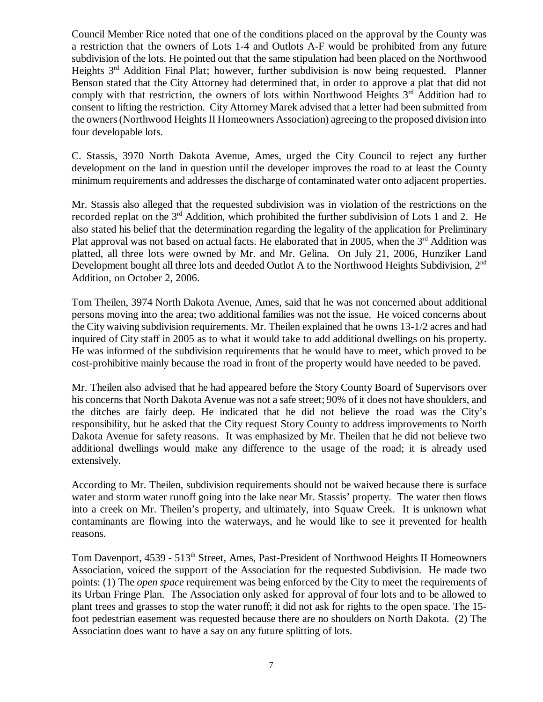Council Member Rice noted that one of the conditions placed on the approval by the County was a restriction that the owners of Lots 1-4 and Outlots A-F would be prohibited from any future subdivision of the lots. He pointed out that the same stipulation had been placed on the Northwood Heights 3<sup>rd</sup> Addition Final Plat; however, further subdivision is now being requested. Planner Benson stated that the City Attorney had determined that, in order to approve a plat that did not comply with that restriction, the owners of lots within Northwood Heights  $3<sup>rd</sup>$  Addition had to consent to lifting the restriction. City Attorney Marek advised that a letter had been submitted from the owners (Northwood Heights II Homeowners Association) agreeing to the proposed division into four developable lots.

C. Stassis, 3970 North Dakota Avenue, Ames, urged the City Council to reject any further development on the land in question until the developer improves the road to at least the County minimum requirements and addresses the discharge of contaminated water onto adjacent properties.

Mr. Stassis also alleged that the requested subdivision was in violation of the restrictions on the recorded replat on the  $3<sup>rd</sup>$  Addition, which prohibited the further subdivision of Lots 1 and 2. He also stated his belief that the determination regarding the legality of the application for Preliminary Plat approval was not based on actual facts. He elaborated that in 2005, when the  $3<sup>rd</sup>$  Addition was platted, all three lots were owned by Mr. and Mr. Gelina. On July 21, 2006, Hunziker Land Development bought all three lots and deeded Outlot A to the Northwood Heights Subdivision, 2<sup>nd</sup> Addition, on October 2, 2006.

Tom Theilen, 3974 North Dakota Avenue, Ames, said that he was not concerned about additional persons moving into the area; two additional families was not the issue. He voiced concerns about the City waiving subdivision requirements. Mr. Theilen explained that he owns 13-1/2 acres and had inquired of City staff in 2005 as to what it would take to add additional dwellings on his property. He was informed of the subdivision requirements that he would have to meet, which proved to be cost-prohibitive mainly because the road in front of the property would have needed to be paved.

Mr. Theilen also advised that he had appeared before the Story County Board of Supervisors over his concerns that North Dakota Avenue was not a safe street; 90% of it does not have shoulders, and the ditches are fairly deep. He indicated that he did not believe the road was the City's responsibility, but he asked that the City request Story County to address improvements to North Dakota Avenue for safety reasons. It was emphasized by Mr. Theilen that he did not believe two additional dwellings would make any difference to the usage of the road; it is already used extensively.

According to Mr. Theilen, subdivision requirements should not be waived because there is surface water and storm water runoff going into the lake near Mr. Stassis' property. The water then flows into a creek on Mr. Theilen's property, and ultimately, into Squaw Creek. It is unknown what contaminants are flowing into the waterways, and he would like to see it prevented for health reasons.

Tom Davenport, 4539 - 513<sup>th</sup> Street, Ames, Past-President of Northwood Heights II Homeowners Association, voiced the support of the Association for the requested Subdivision. He made two points: (1) The *open space* requirement was being enforced by the City to meet the requirements of its Urban Fringe Plan. The Association only asked for approval of four lots and to be allowed to plant trees and grasses to stop the water runoff; it did not ask for rights to the open space. The 15 foot pedestrian easement was requested because there are no shoulders on North Dakota. (2) The Association does want to have a say on any future splitting of lots.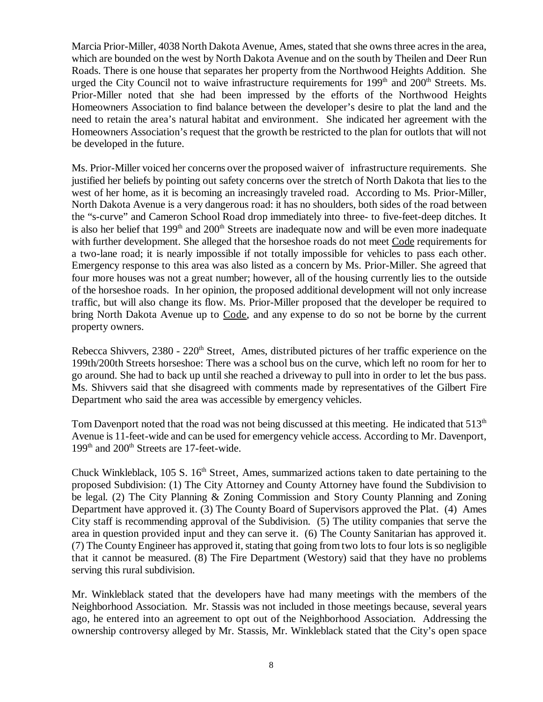Marcia Prior-Miller, 4038 North Dakota Avenue, Ames, stated that she owns three acres in the area, which are bounded on the west by North Dakota Avenue and on the south by Theilen and Deer Run Roads. There is one house that separates her property from the Northwood Heights Addition. She urged the City Council not to waive infrastructure requirements for  $199<sup>th</sup>$  and  $200<sup>th</sup>$  Streets. Ms. Prior-Miller noted that she had been impressed by the efforts of the Northwood Heights Homeowners Association to find balance between the developer's desire to plat the land and the need to retain the area's natural habitat and environment. She indicated her agreement with the Homeowners Association's request that the growth be restricted to the plan for outlots that will not be developed in the future.

Ms. Prior-Miller voiced her concerns over the proposed waiver of infrastructure requirements. She justified her beliefs by pointing out safety concerns over the stretch of North Dakota that lies to the west of her home, as it is becoming an increasingly traveled road. According to Ms. Prior-Miller, North Dakota Avenue is a very dangerous road: it has no shoulders, both sides of the road between the "s-curve" and Cameron School Road drop immediately into three- to five-feet-deep ditches. It is also her belief that  $199<sup>th</sup>$  and  $200<sup>th</sup>$  Streets are inadequate now and will be even more inadequate with further development. She alleged that the horseshoe roads do not meet Code requirements for a two-lane road; it is nearly impossible if not totally impossible for vehicles to pass each other. Emergency response to this area was also listed as a concern by Ms. Prior-Miller. She agreed that four more houses was not a great number; however, all of the housing currently lies to the outside of the horseshoe roads. In her opinion, the proposed additional development will not only increase traffic, but will also change its flow. Ms. Prior-Miller proposed that the developer be required to bring North Dakota Avenue up to Code, and any expense to do so not be borne by the current property owners.

Rebecca Shivvers, 2380 - 220<sup>th</sup> Street, Ames, distributed pictures of her traffic experience on the 199th/200th Streets horseshoe: There was a school bus on the curve, which left no room for her to go around. She had to back up until she reached a driveway to pull into in order to let the bus pass. Ms. Shivvers said that she disagreed with comments made by representatives of the Gilbert Fire Department who said the area was accessible by emergency vehicles.

Tom Davenport noted that the road was not being discussed at this meeting. He indicated that 513<sup>th</sup> Avenue is 11-feet-wide and can be used for emergency vehicle access. According to Mr. Davenport, 199<sup>th</sup> and 200<sup>th</sup> Streets are 17-feet-wide.

Chuck Winkleblack,  $105 S$ .  $16<sup>th</sup> Street$ , Ames, summarized actions taken to date pertaining to the proposed Subdivision: (1) The City Attorney and County Attorney have found the Subdivision to be legal. (2) The City Planning & Zoning Commission and Story County Planning and Zoning Department have approved it. (3) The County Board of Supervisors approved the Plat. (4) Ames City staff is recommending approval of the Subdivision. (5) The utility companies that serve the area in question provided input and they can serve it. (6) The County Sanitarian has approved it. (7) The County Engineer has approved it, stating that going from two lots to four lots is so negligible that it cannot be measured. (8) The Fire Department (Westory) said that they have no problems serving this rural subdivision.

Mr. Winkleblack stated that the developers have had many meetings with the members of the Neighborhood Association. Mr. Stassis was not included in those meetings because, several years ago, he entered into an agreement to opt out of the Neighborhood Association. Addressing the ownership controversy alleged by Mr. Stassis, Mr. Winkleblack stated that the City's open space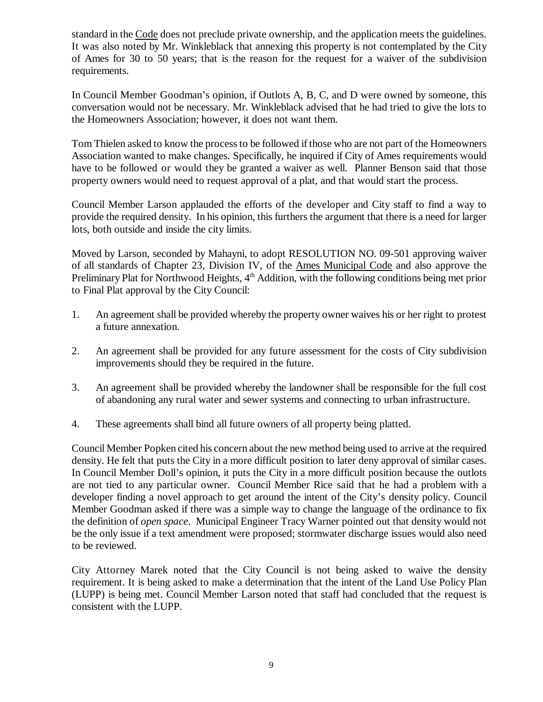standard in the Code does not preclude private ownership, and the application meets the guidelines. It was also noted by Mr. Winkleblack that annexing this property is not contemplated by the City of Ames for 30 to 50 years; that is the reason for the request for a waiver of the subdivision requirements.

In Council Member Goodman's opinion, if Outlots A, B, C, and D were owned by someone, this conversation would not be necessary. Mr. Winkleblack advised that he had tried to give the lots to the Homeowners Association; however, it does not want them.

Tom Thielen asked to know the process to be followed if those who are not part of the Homeowners Association wanted to make changes. Specifically, he inquired if City of Ames requirements would have to be followed or would they be granted a waiver as well. Planner Benson said that those property owners would need to request approval of a plat, and that would start the process.

Council Member Larson applauded the efforts of the developer and City staff to find a way to provide the required density. In his opinion, this furthers the argument that there is a need for larger lots, both outside and inside the city limits.

Moved by Larson, seconded by Mahayni, to adopt RESOLUTION NO. 09-501 approving waiver of all standards of Chapter 23, Division IV, of the Ames Municipal Code and also approve the Preliminary Plat for Northwood Heights,  $4<sup>th</sup>$  Addition, with the following conditions being met prior to Final Plat approval by the City Council:

- 1. An agreement shall be provided whereby the property owner waives his or her right to protest a future annexation.
- 2. An agreement shall be provided for any future assessment for the costs of City subdivision improvements should they be required in the future.
- 3. An agreement shall be provided whereby the landowner shall be responsible for the full cost of abandoning any rural water and sewer systems and connecting to urban infrastructure.
- 4. These agreements shall bind all future owners of all property being platted.

Council Member Popken cited his concern about the new method being used to arrive at the required density. He felt that puts the City in a more difficult position to later deny approval of similar cases. In Council Member Doll's opinion, it puts the City in a more difficult position because the outlots are not tied to any particular owner. Council Member Rice said that he had a problem with a developer finding a novel approach to get around the intent of the City's density policy. Council Member Goodman asked if there was a simple way to change the language of the ordinance to fix the definition of *open space*. Municipal Engineer Tracy Warner pointed out that density would not be the only issue if a text amendment were proposed; stormwater discharge issues would also need to be reviewed.

City Attorney Marek noted that the City Council is not being asked to waive the density requirement. It is being asked to make a determination that the intent of the Land Use Policy Plan (LUPP) is being met. Council Member Larson noted that staff had concluded that the request is consistent with the LUPP.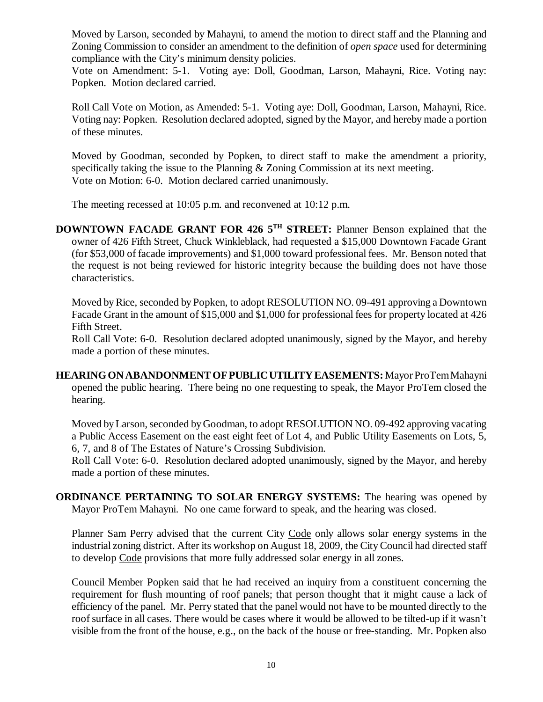Moved by Larson, seconded by Mahayni, to amend the motion to direct staff and the Planning and Zoning Commission to consider an amendment to the definition of *open space* used for determining compliance with the City's minimum density policies.

Vote on Amendment: 5-1. Voting aye: Doll, Goodman, Larson, Mahayni, Rice. Voting nay: Popken. Motion declared carried.

Roll Call Vote on Motion, as Amended: 5-1. Voting aye: Doll, Goodman, Larson, Mahayni, Rice. Voting nay: Popken. Resolution declared adopted, signed by the Mayor, and hereby made a portion of these minutes.

Moved by Goodman, seconded by Popken, to direct staff to make the amendment a priority, specifically taking the issue to the Planning & Zoning Commission at its next meeting. Vote on Motion: 6-0. Motion declared carried unanimously.

The meeting recessed at 10:05 p.m. and reconvened at 10:12 p.m.

**DOWNTOWN FACADE GRANT FOR 426 5TH STREET:** Planner Benson explained that the owner of 426 Fifth Street, Chuck Winkleblack, had requested a \$15,000 Downtown Facade Grant (for \$53,000 of facade improvements) and \$1,000 toward professional fees. Mr. Benson noted that the request is not being reviewed for historic integrity because the building does not have those characteristics.

Moved by Rice, seconded by Popken, to adopt RESOLUTION NO. 09-491 approving a Downtown Facade Grant in the amount of \$15,000 and \$1,000 for professional fees for property located at 426 Fifth Street.

Roll Call Vote: 6-0. Resolution declared adopted unanimously, signed by the Mayor, and hereby made a portion of these minutes.

**HEARING ON ABANDONMENT OF PUBLIC UTILITY EASEMENTS:** Mayor ProTem Mahayni opened the public hearing. There being no one requesting to speak, the Mayor ProTem closed the hearing.

Moved by Larson, seconded by Goodman, to adopt RESOLUTION NO. 09-492 approving vacating a Public Access Easement on the east eight feet of Lot 4, and Public Utility Easements on Lots, 5, 6, 7, and 8 of The Estates of Nature's Crossing Subdivision.

Roll Call Vote: 6-0. Resolution declared adopted unanimously, signed by the Mayor, and hereby made a portion of these minutes.

**ORDINANCE PERTAINING TO SOLAR ENERGY SYSTEMS:** The hearing was opened by Mayor ProTem Mahayni. No one came forward to speak, and the hearing was closed.

Planner Sam Perry advised that the current City Code only allows solar energy systems in the industrial zoning district. After its workshop on August 18, 2009, the City Council had directed staff to develop Code provisions that more fully addressed solar energy in all zones.

Council Member Popken said that he had received an inquiry from a constituent concerning the requirement for flush mounting of roof panels; that person thought that it might cause a lack of efficiency of the panel. Mr. Perry stated that the panel would not have to be mounted directly to the roof surface in all cases. There would be cases where it would be allowed to be tilted-up if it wasn't visible from the front of the house, e.g., on the back of the house or free-standing. Mr. Popken also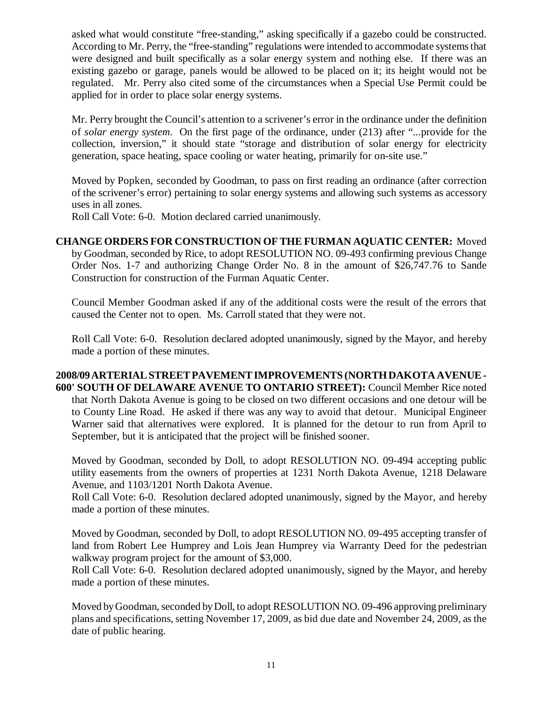asked what would constitute "free-standing," asking specifically if a gazebo could be constructed. According to Mr. Perry, the "free-standing" regulations were intended to accommodate systems that were designed and built specifically as a solar energy system and nothing else. If there was an existing gazebo or garage, panels would be allowed to be placed on it; its height would not be regulated. Mr. Perry also cited some of the circumstances when a Special Use Permit could be applied for in order to place solar energy systems.

Mr. Perry brought the Council's attention to a scrivener's error in the ordinance under the definition of *solar energy system*. On the first page of the ordinance, under (213) after "...provide for the collection, inversion," it should state "storage and distribution of solar energy for electricity generation, space heating, space cooling or water heating, primarily for on-site use."

Moved by Popken, seconded by Goodman, to pass on first reading an ordinance (after correction of the scrivener's error) pertaining to solar energy systems and allowing such systems as accessory uses in all zones.

Roll Call Vote: 6-0. Motion declared carried unanimously.

### **CHANGE ORDERS FOR CONSTRUCTION OF THE FURMAN AQUATIC CENTER:** Moved by Goodman, seconded by Rice, to adopt RESOLUTION NO. 09-493 confirming previous Change Order Nos. 1-7 and authorizing Change Order No. 8 in the amount of \$26,747.76 to Sande Construction for construction of the Furman Aquatic Center.

Council Member Goodman asked if any of the additional costs were the result of the errors that caused the Center not to open. Ms. Carroll stated that they were not.

Roll Call Vote: 6-0. Resolution declared adopted unanimously, signed by the Mayor, and hereby made a portion of these minutes.

#### **2008/09 ARTERIAL STREET PAVEMENT IMPROVEMENTS (NORTH DAKOTA AVENUE - 600' SOUTH OF DELAWARE AVENUE TO ONTARIO STREET):** Council Member Rice noted that North Dakota Avenue is going to be closed on two different occasions and one detour will be to County Line Road. He asked if there was any way to avoid that detour. Municipal Engineer Warner said that alternatives were explored. It is planned for the detour to run from April to September, but it is anticipated that the project will be finished sooner.

Moved by Goodman, seconded by Doll, to adopt RESOLUTION NO. 09-494 accepting public utility easements from the owners of properties at 1231 North Dakota Avenue, 1218 Delaware Avenue, and 1103/1201 North Dakota Avenue.

Roll Call Vote: 6-0. Resolution declared adopted unanimously, signed by the Mayor, and hereby made a portion of these minutes.

Moved by Goodman, seconded by Doll, to adopt RESOLUTION NO. 09-495 accepting transfer of land from Robert Lee Humprey and Lois Jean Humprey via Warranty Deed for the pedestrian walkway program project for the amount of \$3,000.

Roll Call Vote: 6-0. Resolution declared adopted unanimously, signed by the Mayor, and hereby made a portion of these minutes.

Moved by Goodman, seconded by Doll, to adopt RESOLUTION NO. 09-496 approving preliminary plans and specifications, setting November 17, 2009, as bid due date and November 24, 2009, as the date of public hearing.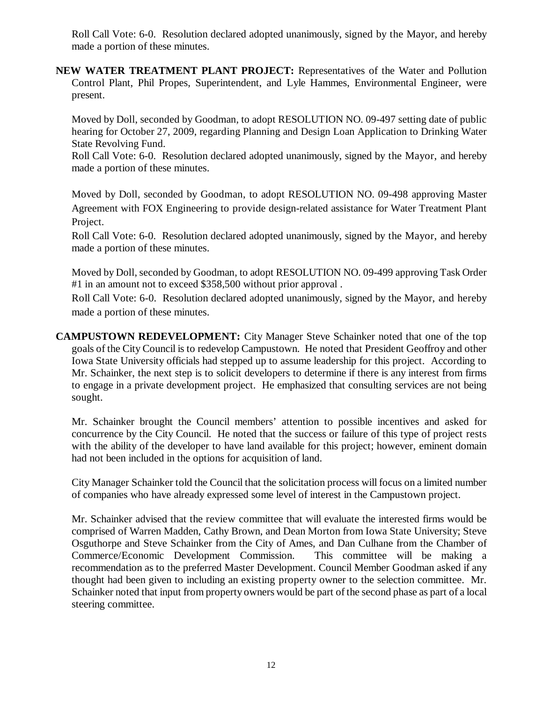Roll Call Vote: 6-0. Resolution declared adopted unanimously, signed by the Mayor, and hereby made a portion of these minutes.

**NEW WATER TREATMENT PLANT PROJECT:** Representatives of the Water and Pollution Control Plant, Phil Propes, Superintendent, and Lyle Hammes, Environmental Engineer, were present.

Moved by Doll, seconded by Goodman, to adopt RESOLUTION NO. 09-497 setting date of public hearing for October 27, 2009, regarding Planning and Design Loan Application to Drinking Water State Revolving Fund.

Roll Call Vote: 6-0. Resolution declared adopted unanimously, signed by the Mayor, and hereby made a portion of these minutes.

Moved by Doll, seconded by Goodman, to adopt RESOLUTION NO. 09-498 approving Master Agreement with FOX Engineering to provide design-related assistance for Water Treatment Plant Project.

Roll Call Vote: 6-0. Resolution declared adopted unanimously, signed by the Mayor, and hereby made a portion of these minutes.

Moved by Doll, seconded by Goodman, to adopt RESOLUTION NO. 09-499 approving Task Order #1 in an amount not to exceed \$358,500 without prior approval .

Roll Call Vote: 6-0. Resolution declared adopted unanimously, signed by the Mayor, and hereby made a portion of these minutes.

**CAMPUSTOWN REDEVELOPMENT:** City Manager Steve Schainker noted that one of the top goals of the City Council is to redevelop Campustown. He noted that President Geoffroy and other Iowa State University officials had stepped up to assume leadership for this project. According to Mr. Schainker, the next step is to solicit developers to determine if there is any interest from firms to engage in a private development project. He emphasized that consulting services are not being sought.

Mr. Schainker brought the Council members' attention to possible incentives and asked for concurrence by the City Council. He noted that the success or failure of this type of project rests with the ability of the developer to have land available for this project; however, eminent domain had not been included in the options for acquisition of land.

City Manager Schainker told the Council that the solicitation process will focus on a limited number of companies who have already expressed some level of interest in the Campustown project.

Mr. Schainker advised that the review committee that will evaluate the interested firms would be comprised of Warren Madden, Cathy Brown, and Dean Morton from Iowa State University; Steve Osguthorpe and Steve Schainker from the City of Ames, and Dan Culhane from the Chamber of Commerce/Economic Development Commission. This committee will be making a recommendation as to the preferred Master Development. Council Member Goodman asked if any thought had been given to including an existing property owner to the selection committee. Mr. Schainker noted that input from property owners would be part of the second phase as part of a local steering committee.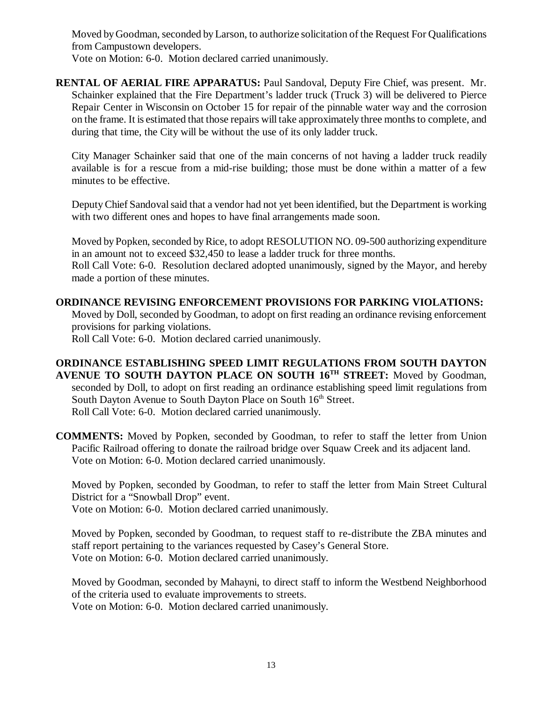Moved by Goodman, seconded by Larson, to authorize solicitation of the Request For Qualifications from Campustown developers. Vote on Motion: 6-0. Motion declared carried unanimously.

**RENTAL OF AERIAL FIRE APPARATUS:** Paul Sandoval, Deputy Fire Chief, was present. Mr. Schainker explained that the Fire Department's ladder truck (Truck 3) will be delivered to Pierce Repair Center in Wisconsin on October 15 for repair of the pinnable water way and the corrosion on the frame. It is estimated that those repairs will take approximately three months to complete, and during that time, the City will be without the use of its only ladder truck.

City Manager Schainker said that one of the main concerns of not having a ladder truck readily available is for a rescue from a mid-rise building; those must be done within a matter of a few minutes to be effective.

Deputy Chief Sandoval said that a vendor had not yet been identified, but the Department is working with two different ones and hopes to have final arrangements made soon.

Moved by Popken, seconded by Rice, to adopt RESOLUTION NO. 09-500 authorizing expenditure in an amount not to exceed \$32,450 to lease a ladder truck for three months. Roll Call Vote: 6-0. Resolution declared adopted unanimously, signed by the Mayor, and hereby made a portion of these minutes.

#### **ORDINANCE REVISING ENFORCEMENT PROVISIONS FOR PARKING VIOLATIONS:** Moved by Doll, seconded by Goodman, to adopt on first reading an ordinance revising enforcement provisions for parking violations.

Roll Call Vote: 6-0. Motion declared carried unanimously.

## **ORDINANCE ESTABLISHING SPEED LIMIT REGULATIONS FROM SOUTH DAYTON AVENUE TO SOUTH DAYTON PLACE ON SOUTH 16TH STREET:** Moved by Goodman, seconded by Doll, to adopt on first reading an ordinance establishing speed limit regulations from South Dayton Avenue to South Dayton Place on South 16<sup>th</sup> Street. Roll Call Vote: 6-0. Motion declared carried unanimously.

**COMMENTS:** Moved by Popken, seconded by Goodman, to refer to staff the letter from Union Pacific Railroad offering to donate the railroad bridge over Squaw Creek and its adjacent land. Vote on Motion: 6-0. Motion declared carried unanimously.

Moved by Popken, seconded by Goodman, to refer to staff the letter from Main Street Cultural District for a "Snowball Drop" event.

Vote on Motion: 6-0. Motion declared carried unanimously.

Moved by Popken, seconded by Goodman, to request staff to re-distribute the ZBA minutes and staff report pertaining to the variances requested by Casey's General Store. Vote on Motion: 6-0. Motion declared carried unanimously.

Moved by Goodman, seconded by Mahayni, to direct staff to inform the Westbend Neighborhood of the criteria used to evaluate improvements to streets.

Vote on Motion: 6-0. Motion declared carried unanimously.